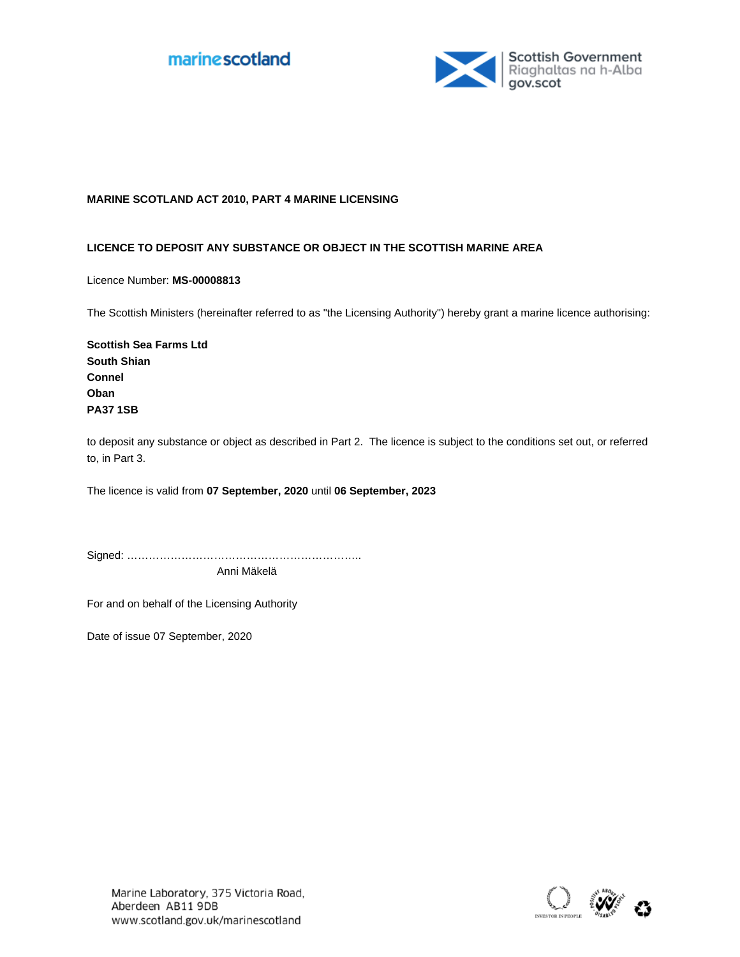



#### **MARINE SCOTLAND ACT 2010, PART 4 MARINE LICENSING**

#### **LICENCE TO DEPOSIT ANY SUBSTANCE OR OBJECT IN THE SCOTTISH MARINE AREA**

Licence Number: **MS-00008813**

The Scottish Ministers (hereinafter referred to as "the Licensing Authority") hereby grant a marine licence authorising:

**Scottish Sea Farms Ltd South Shian Connel Oban PA37 1SB**

to deposit any substance or object as described in Part 2. The licence is subject to the conditions set out, or referred to, in Part 3.

The licence is valid from 07 September, 2020 until 06 September, 2023

Signed: ……………………………………………………….. Anni Mäkelä

For and on behalf of the Licensing Authority

Date of issue 07 September, 2020

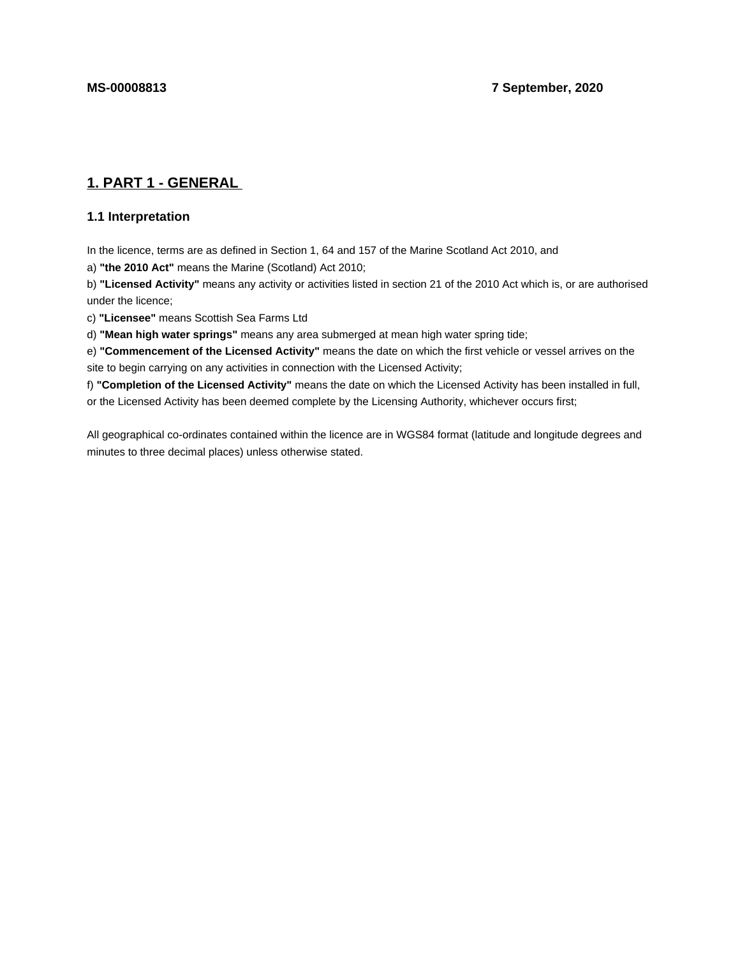# **1. PART 1 - GENERAL**

# **1.1 Interpretation**

In the licence, terms are as defined in Section 1, 64 and 157 of the Marine Scotland Act 2010, and

a) **"the 2010 Act"** means the Marine (Scotland) Act 2010;

b) **"Licensed Activity"** means any activity or activities listed in section 21 of the 2010 Act which is, or are authorised under the licence;

c) **"Licensee"** means Scottish Sea Farms Ltd

d) **"Mean high water springs"** means any area submerged at mean high water spring tide;

e) **"Commencement of the Licensed Activity"** means the date on which the first vehicle or vessel arrives on the site to begin carrying on any activities in connection with the Licensed Activity;

f) **"Completion of the Licensed Activity"** means the date on which the Licensed Activity has been installed in full, or the Licensed Activity has been deemed complete by the Licensing Authority, whichever occurs first;

All geographical co-ordinates contained within the licence are in WGS84 format (latitude and longitude degrees and minutes to three decimal places) unless otherwise stated.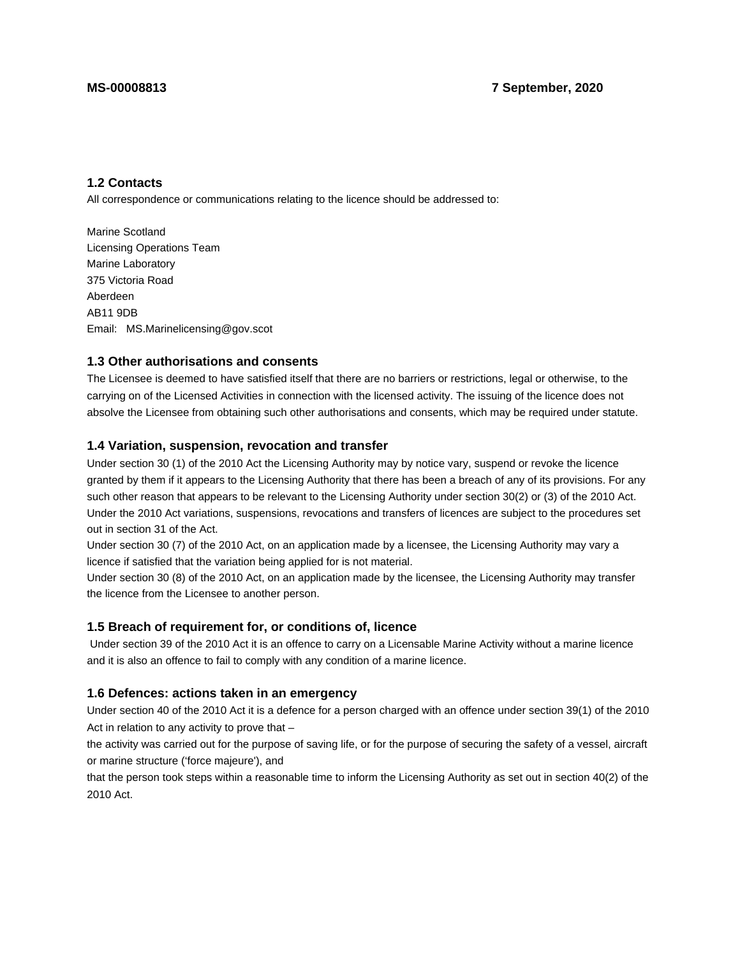### **1.2 Contacts**

All correspondence or communications relating to the licence should be addressed to:

Marine Scotland Licensing Operations Team Marine Laboratory 375 Victoria Road Aberdeen AB11 9DB Email: MS.Marinelicensing@gov.scot

#### **1.3 Other authorisations and consents**

The Licensee is deemed to have satisfied itself that there are no barriers or restrictions, legal or otherwise, to the carrying on of the Licensed Activities in connection with the licensed activity. The issuing of the licence does not absolve the Licensee from obtaining such other authorisations and consents, which may be required under statute.

## **1.4 Variation, suspension, revocation and transfer**

Under section 30 (1) of the 2010 Act the Licensing Authority may by notice vary, suspend or revoke the licence granted by them if it appears to the Licensing Authority that there has been a breach of any of its provisions. For any such other reason that appears to be relevant to the Licensing Authority under section 30(2) or (3) of the 2010 Act. Under the 2010 Act variations, suspensions, revocations and transfers of licences are subject to the procedures set out in section 31 of the Act.

Under section 30 (7) of the 2010 Act, on an application made by a licensee, the Licensing Authority may vary a licence if satisfied that the variation being applied for is not material.

Under section 30 (8) of the 2010 Act, on an application made by the licensee, the Licensing Authority may transfer the licence from the Licensee to another person.

#### **1.5 Breach of requirement for, or conditions of, licence**

 Under section 39 of the 2010 Act it is an offence to carry on a Licensable Marine Activity without a marine licence and it is also an offence to fail to comply with any condition of a marine licence.

#### **1.6 Defences: actions taken in an emergency**

Under section 40 of the 2010 Act it is a defence for a person charged with an offence under section 39(1) of the 2010 Act in relation to any activity to prove that –

the activity was carried out for the purpose of saving life, or for the purpose of securing the safety of a vessel, aircraft or marine structure ('force majeure'), and

that the person took steps within a reasonable time to inform the Licensing Authority as set out in section 40(2) of the 2010 Act.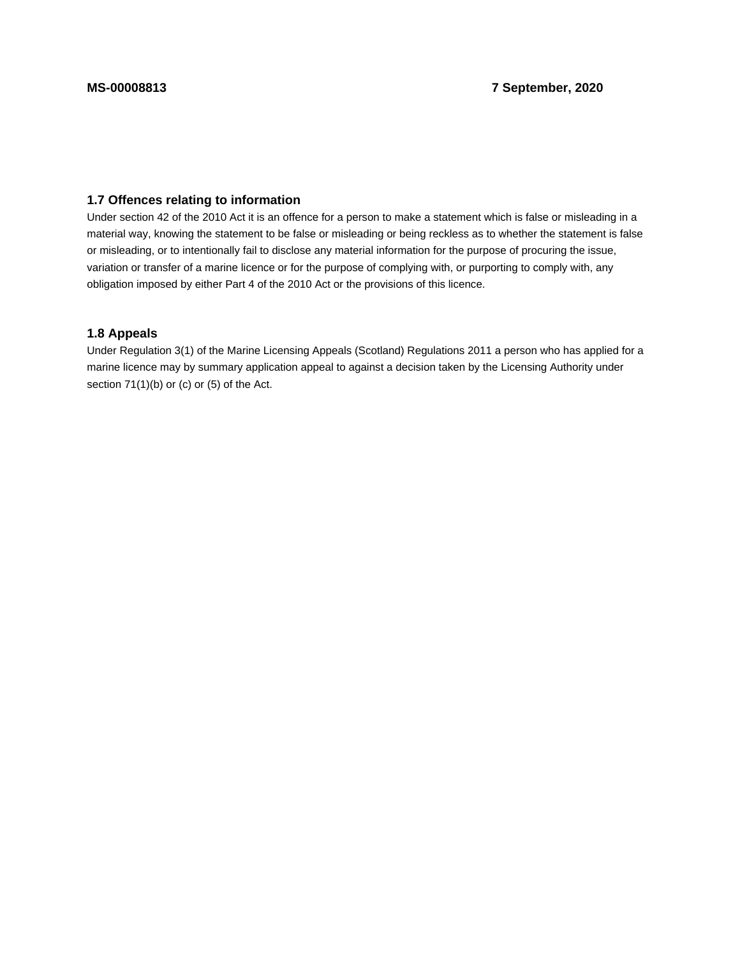## **1.7 Offences relating to information**

Under section 42 of the 2010 Act it is an offence for a person to make a statement which is false or misleading in a material way, knowing the statement to be false or misleading or being reckless as to whether the statement is false or misleading, or to intentionally fail to disclose any material information for the purpose of procuring the issue, variation or transfer of a marine licence or for the purpose of complying with, or purporting to comply with, any obligation imposed by either Part 4 of the 2010 Act or the provisions of this licence.

### **1.8 Appeals**

Under Regulation 3(1) of the Marine Licensing Appeals (Scotland) Regulations 2011 a person who has applied for a marine licence may by summary application appeal to against a decision taken by the Licensing Authority under section 71(1)(b) or (c) or (5) of the Act.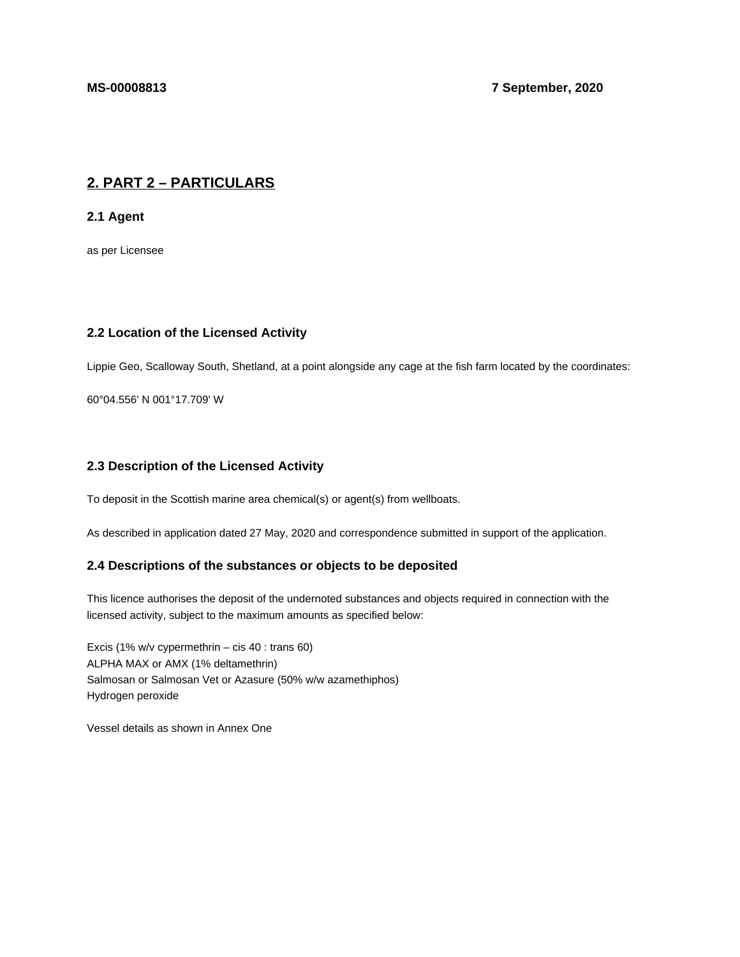# **2. PART 2 – PARTICULARS**

**2.1 Agent**

as per Licensee

## **2.2 Location of the Licensed Activity**

Lippie Geo, Scalloway South, Shetland, at a point alongside any cage at the fish farm located by the coordinates:

60°04.556' N 001°17.709' W

## **2.3 Description of the Licensed Activity**

To deposit in the Scottish marine area chemical(s) or agent(s) from wellboats.

As described in application dated 27 May, 2020 and correspondence submitted in support of the application.

## **2.4 Descriptions of the substances or objects to be deposited**

This licence authorises the deposit of the undernoted substances and objects required in connection with the licensed activity, subject to the maximum amounts as specified below:

Excis (1% w/v cypermethrin – cis 40 : trans 60) ALPHA MAX or AMX (1% deltamethrin) Salmosan or Salmosan Vet or Azasure (50% w/w azamethiphos) Hydrogen peroxide

Vessel details as shown in Annex One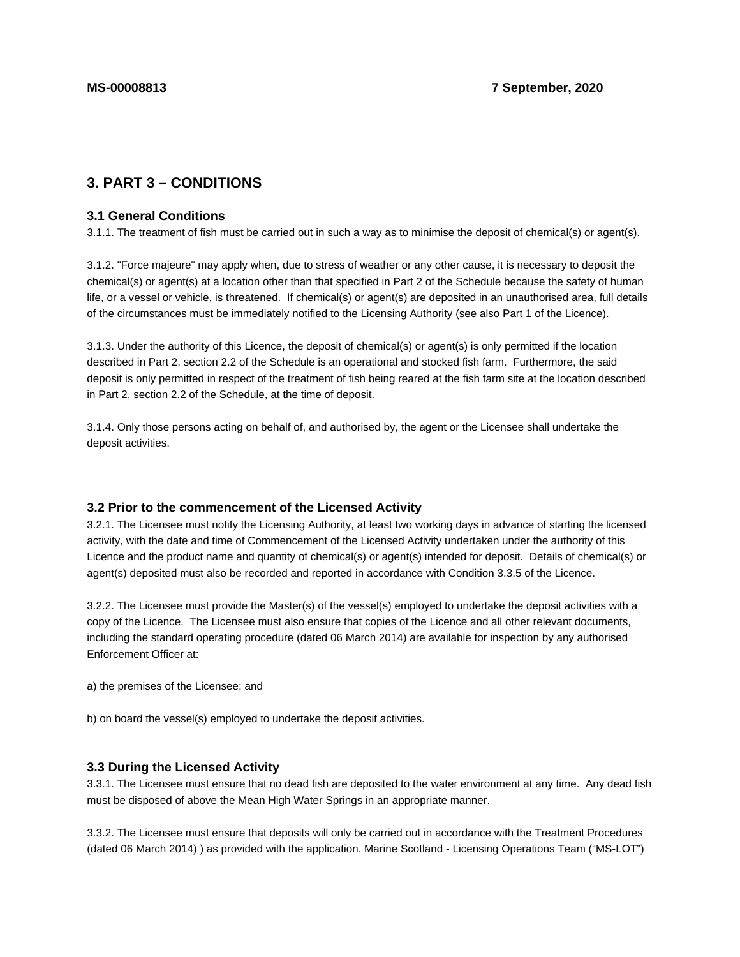# **3. PART 3 – CONDITIONS**

#### **3.1 General Conditions**

3.1.1. The treatment of fish must be carried out in such a way as to minimise the deposit of chemical(s) or agent(s).

3.1.2. "Force majeure" may apply when, due to stress of weather or any other cause, it is necessary to deposit the chemical(s) or agent(s) at a location other than that specified in Part 2 of the Schedule because the safety of human life, or a vessel or vehicle, is threatened. If chemical(s) or agent(s) are deposited in an unauthorised area, full details of the circumstances must be immediately notified to the Licensing Authority (see also Part 1 of the Licence).

3.1.3. Under the authority of this Licence, the deposit of chemical(s) or agent(s) is only permitted if the location described in Part 2, section 2.2 of the Schedule is an operational and stocked fish farm. Furthermore, the said deposit is only permitted in respect of the treatment of fish being reared at the fish farm site at the location described in Part 2, section 2.2 of the Schedule, at the time of deposit.

3.1.4. Only those persons acting on behalf of, and authorised by, the agent or the Licensee shall undertake the deposit activities.

#### **3.2 Prior to the commencement of the Licensed Activity**

3.2.1. The Licensee must notify the Licensing Authority, at least two working days in advance of starting the licensed activity, with the date and time of Commencement of the Licensed Activity undertaken under the authority of this Licence and the product name and quantity of chemical(s) or agent(s) intended for deposit. Details of chemical(s) or agent(s) deposited must also be recorded and reported in accordance with Condition 3.3.5 of the Licence.

3.2.2. The Licensee must provide the Master(s) of the vessel(s) employed to undertake the deposit activities with a copy of the Licence. The Licensee must also ensure that copies of the Licence and all other relevant documents, including the standard operating procedure (dated 06 March 2014) are available for inspection by any authorised Enforcement Officer at:

a) the premises of the Licensee; and

b) on board the vessel(s) employed to undertake the deposit activities.

#### **3.3 During the Licensed Activity**

3.3.1. The Licensee must ensure that no dead fish are deposited to the water environment at any time. Any dead fish must be disposed of above the Mean High Water Springs in an appropriate manner.

3.3.2. The Licensee must ensure that deposits will only be carried out in accordance with the Treatment Procedures (dated 06 March 2014) ) as provided with the application. Marine Scotland - Licensing Operations Team ("MS-LOT")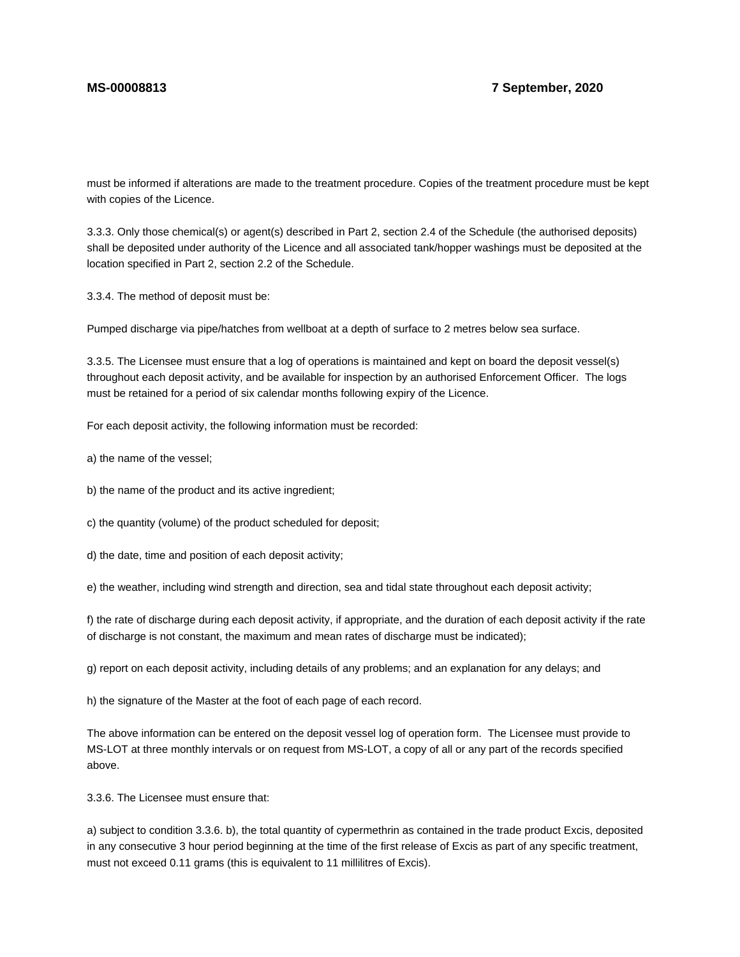must be informed if alterations are made to the treatment procedure. Copies of the treatment procedure must be kept with copies of the Licence.

3.3.3. Only those chemical(s) or agent(s) described in Part 2, section 2.4 of the Schedule (the authorised deposits) shall be deposited under authority of the Licence and all associated tank/hopper washings must be deposited at the location specified in Part 2, section 2.2 of the Schedule.

3.3.4. The method of deposit must be:

Pumped discharge via pipe/hatches from wellboat at a depth of surface to 2 metres below sea surface.

3.3.5. The Licensee must ensure that a log of operations is maintained and kept on board the deposit vessel(s) throughout each deposit activity, and be available for inspection by an authorised Enforcement Officer. The logs must be retained for a period of six calendar months following expiry of the Licence.

For each deposit activity, the following information must be recorded:

a) the name of the vessel;

b) the name of the product and its active ingredient;

c) the quantity (volume) of the product scheduled for deposit;

d) the date, time and position of each deposit activity;

e) the weather, including wind strength and direction, sea and tidal state throughout each deposit activity;

f) the rate of discharge during each deposit activity, if appropriate, and the duration of each deposit activity if the rate of discharge is not constant, the maximum and mean rates of discharge must be indicated);

g) report on each deposit activity, including details of any problems; and an explanation for any delays; and

h) the signature of the Master at the foot of each page of each record.

The above information can be entered on the deposit vessel log of operation form. The Licensee must provide to MS-LOT at three monthly intervals or on request from MS-LOT, a copy of all or any part of the records specified above.

3.3.6. The Licensee must ensure that:

a) subject to condition 3.3.6. b), the total quantity of cypermethrin as contained in the trade product Excis, deposited in any consecutive 3 hour period beginning at the time of the first release of Excis as part of any specific treatment, must not exceed 0.11 grams (this is equivalent to 11 millilitres of Excis).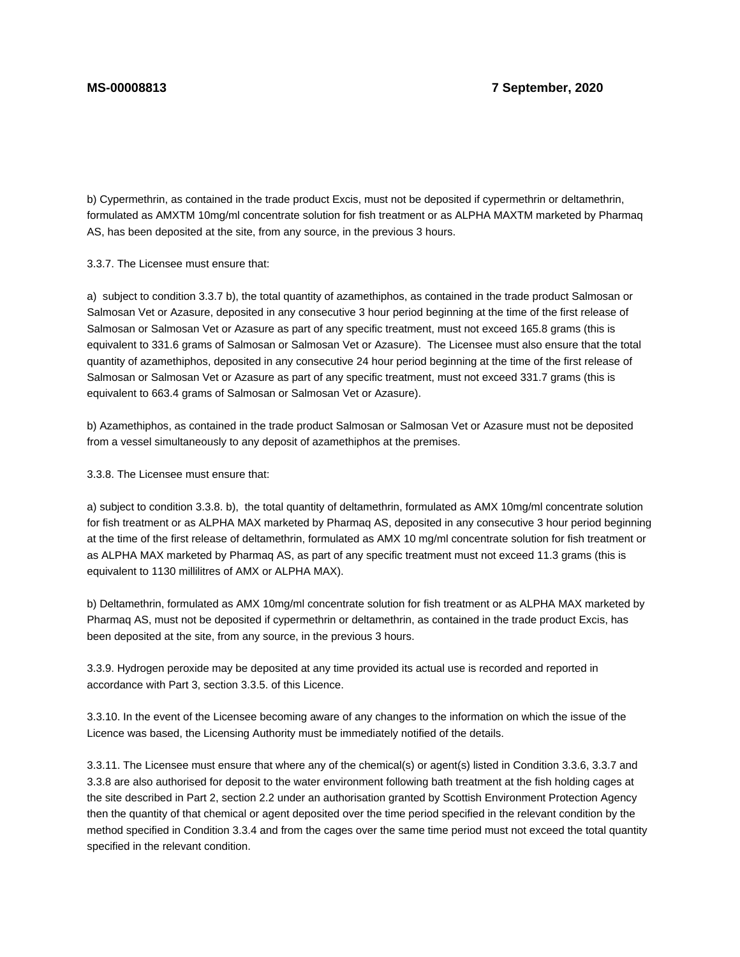b) Cypermethrin, as contained in the trade product Excis, must not be deposited if cypermethrin or deltamethrin, formulated as AMXTM 10mg/ml concentrate solution for fish treatment or as ALPHA MAXTM marketed by Pharmaq AS, has been deposited at the site, from any source, in the previous 3 hours.

3.3.7. The Licensee must ensure that:

a) subject to condition 3.3.7 b), the total quantity of azamethiphos, as contained in the trade product Salmosan or Salmosan Vet or Azasure, deposited in any consecutive 3 hour period beginning at the time of the first release of Salmosan or Salmosan Vet or Azasure as part of any specific treatment, must not exceed 165.8 grams (this is equivalent to 331.6 grams of Salmosan or Salmosan Vet or Azasure). The Licensee must also ensure that the total quantity of azamethiphos, deposited in any consecutive 24 hour period beginning at the time of the first release of Salmosan or Salmosan Vet or Azasure as part of any specific treatment, must not exceed 331.7 grams (this is equivalent to 663.4 grams of Salmosan or Salmosan Vet or Azasure).

b) Azamethiphos, as contained in the trade product Salmosan or Salmosan Vet or Azasure must not be deposited from a vessel simultaneously to any deposit of azamethiphos at the premises.

3.3.8. The Licensee must ensure that:

a) subject to condition 3.3.8. b), the total quantity of deltamethrin, formulated as AMX 10mg/ml concentrate solution for fish treatment or as ALPHA MAX marketed by Pharmaq AS, deposited in any consecutive 3 hour period beginning at the time of the first release of deltamethrin, formulated as AMX 10 mg/ml concentrate solution for fish treatment or as ALPHA MAX marketed by Pharmaq AS, as part of any specific treatment must not exceed 11.3 grams (this is equivalent to 1130 millilitres of AMX or ALPHA MAX).

b) Deltamethrin, formulated as AMX 10mg/ml concentrate solution for fish treatment or as ALPHA MAX marketed by Pharmaq AS, must not be deposited if cypermethrin or deltamethrin, as contained in the trade product Excis, has been deposited at the site, from any source, in the previous 3 hours.

3.3.9. Hydrogen peroxide may be deposited at any time provided its actual use is recorded and reported in accordance with Part 3, section 3.3.5. of this Licence.

3.3.10. In the event of the Licensee becoming aware of any changes to the information on which the issue of the Licence was based, the Licensing Authority must be immediately notified of the details.

3.3.11. The Licensee must ensure that where any of the chemical(s) or agent(s) listed in Condition 3.3.6, 3.3.7 and 3.3.8 are also authorised for deposit to the water environment following bath treatment at the fish holding cages at the site described in Part 2, section 2.2 under an authorisation granted by Scottish Environment Protection Agency then the quantity of that chemical or agent deposited over the time period specified in the relevant condition by the method specified in Condition 3.3.4 and from the cages over the same time period must not exceed the total quantity specified in the relevant condition.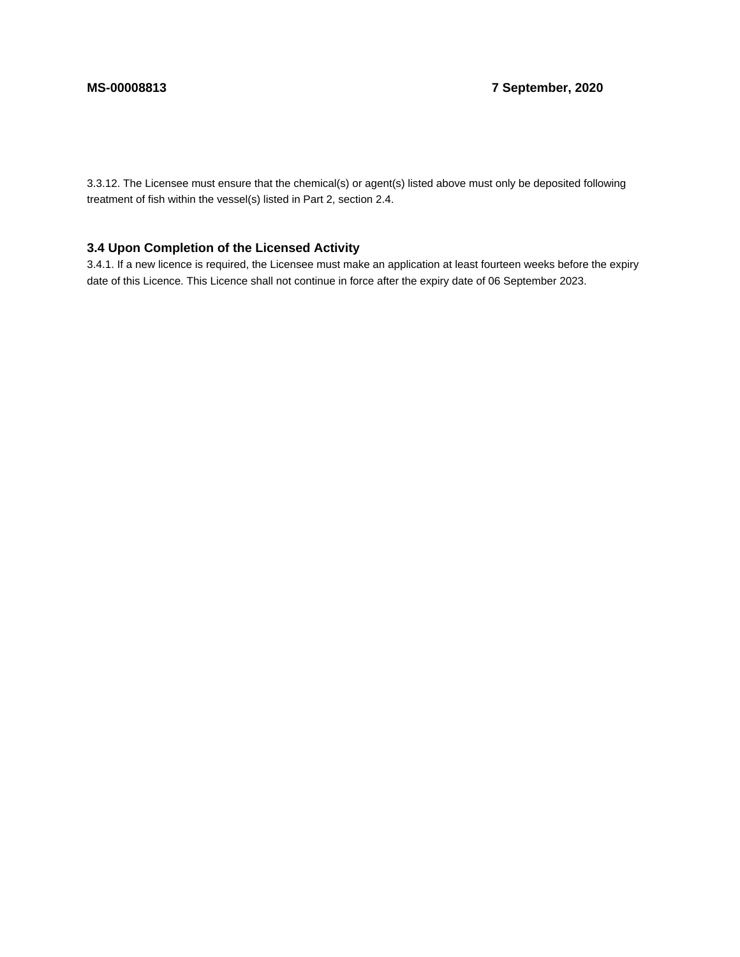3.3.12. The Licensee must ensure that the chemical(s) or agent(s) listed above must only be deposited following treatment of fish within the vessel(s) listed in Part 2, section 2.4.

# **3.4 Upon Completion of the Licensed Activity**

3.4.1. If a new licence is required, the Licensee must make an application at least fourteen weeks before the expiry date of this Licence. This Licence shall not continue in force after the expiry date of 06 September 2023.